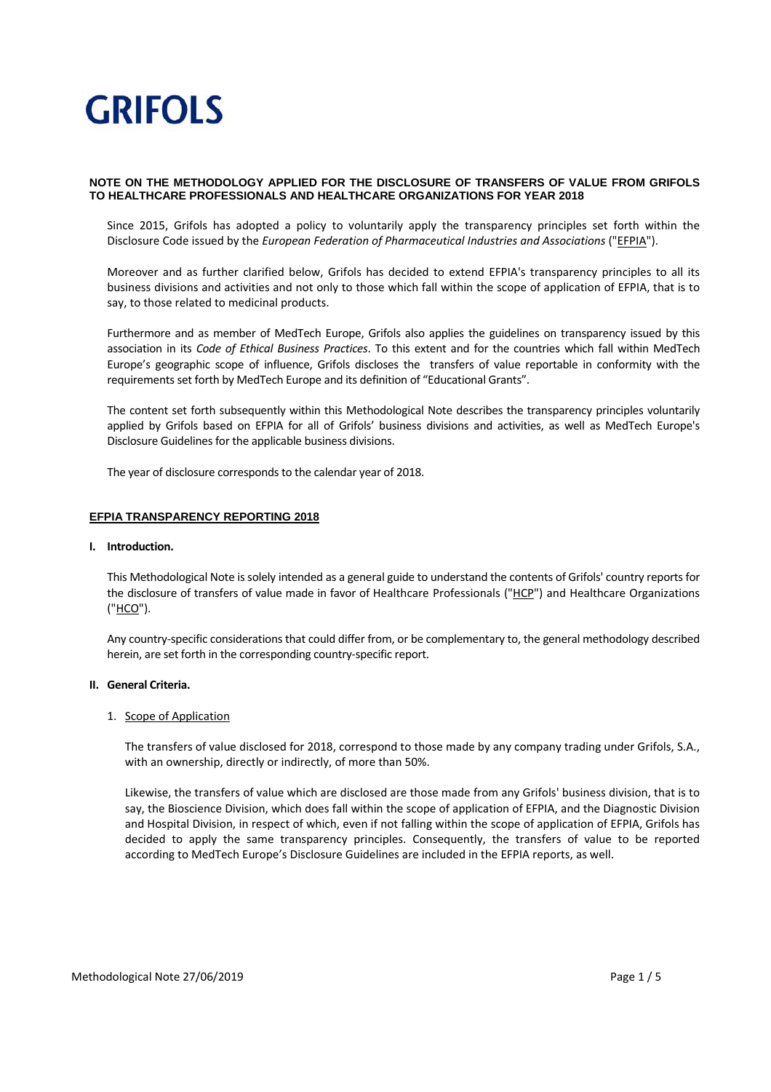# **NOTE ON THE METHODOLOGY APPLIED FOR THE DISCLOSURE OF TRANSFERS OF VALUE FROM GRIFOLS TO HEALTHCARE PROFESSIONALS AND HEALTHCARE ORGANIZATIONS FOR YEAR 2018**

Since 2015, Grifols has adopted a policy to voluntarily apply the transparency principles set forth within the Disclosure Code issued by the *European Federation of Pharmaceutical Industries and Associations* ("EFPIA").

Moreover and as further clarified below, Grifols has decided to extend EFPIA's transparency principles to all its business divisions and activities and not only to those which fall within the scope of application of EFPIA, that is to say, to those related to medicinal products.

Furthermore and as member of MedTech Europe, Grifols also applies the guidelines on transparency issued by this association in its *Code of Ethical Business Practices*. To this extent and for the countries which fall within MedTech Europe's geographic scope of influence, Grifols discloses the transfers of value reportable in conformity with the requirements set forth by MedTech Europe and its definition of "Educational Grants".

The content set forth subsequently within this Methodological Note describes the transparency principles voluntarily applied by Grifols based on EFPIA for all of Grifols' business divisions and activities, as well as MedTech Europe's Disclosure Guidelines for the applicable business divisions.

The year of disclosure corresponds to the calendar year of 2018.

# **EFPIA TRANSPARENCY REPORTING 2018**

### **I. Introduction.**

This Methodological Note issolely intended as a general guide to understand the contents of Grifols' country reports for the disclosure of transfers of value made in favor of Healthcare Professionals ("HCP") and Healthcare Organizations ("HCO").

Any country‐specific considerations that could differ from, or be complementary to, the general methodology described herein, are set forth in the corresponding country‐specific report.

### **II. General Criteria.**

### 1. Scope of Application

The transfers of value disclosed for 2018, correspond to those made by any company trading under Grifols, S.A., with an ownership, directly or indirectly, of more than 50%.

Likewise, the transfers of value which are disclosed are those made from any Grifols' business division, that is to say, the Bioscience Division, which does fall within the scope of application of EFPIA, and the Diagnostic Division and Hospital Division, in respect of which, even if not falling within the scope of application of EFPIA, Grifols has decided to apply the same transparency principles. Consequently, the transfers of value to be reported according to MedTech Europe's Disclosure Guidelines are included in the EFPIA reports, as well.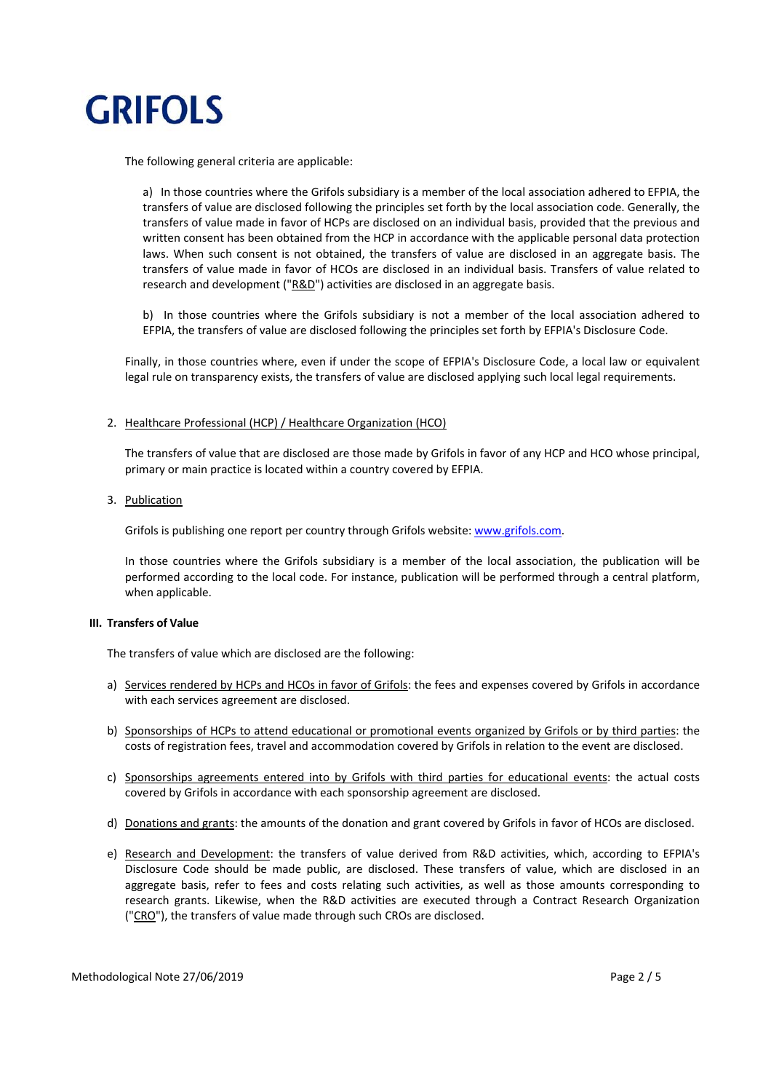

The following general criteria are applicable:

a) In those countries where the Grifols subsidiary is a member of the local association adhered to EFPIA, the transfers of value are disclosed following the principles set forth by the local association code. Generally, the transfers of value made in favor of HCPs are disclosed on an individual basis, provided that the previous and written consent has been obtained from the HCP in accordance with the applicable personal data protection laws. When such consent is not obtained, the transfers of value are disclosed in an aggregate basis. The transfers of value made in favor of HCOs are disclosed in an individual basis. Transfers of value related to research and development ("R&D") activities are disclosed in an aggregate basis.

b) In those countries where the Grifols subsidiary is not a member of the local association adhered to EFPIA, the transfers of value are disclosed following the principles set forth by EFPIA's Disclosure Code.

Finally, in those countries where, even if under the scope of EFPIA's Disclosure Code, a local law or equivalent legal rule on transparency exists, the transfers of value are disclosed applying such local legal requirements.

### 2. Healthcare Professional (HCP) / Healthcare Organization (HCO)

The transfers of value that are disclosed are those made by Grifols in favor of any HCP and HCO whose principal, primary or main practice is located within a country covered by EFPIA.

### 3. Publication

Grifols is publishing one report per country through Grifols website: www.grifols.com.

In those countries where the Grifols subsidiary is a member of the local association, the publication will be performed according to the local code. For instance, publication will be performed through a central platform, when applicable.

# **III. Transfers of Value**

The transfers of value which are disclosed are the following:

- a) Services rendered by HCPs and HCOs in favor of Grifols: the fees and expenses covered by Grifols in accordance with each services agreement are disclosed.
- b) Sponsorships of HCPs to attend educational or promotional events organized by Grifols or by third parties: the costs of registration fees, travel and accommodation covered by Grifols in relation to the event are disclosed.
- c) Sponsorships agreements entered into by Grifols with third parties for educational events: the actual costs covered by Grifols in accordance with each sponsorship agreement are disclosed.
- d) Donations and grants: the amounts of the donation and grant covered by Grifols in favor of HCOs are disclosed.
- e) Research and Development: the transfers of value derived from R&D activities, which, according to EFPIA's Disclosure Code should be made public, are disclosed. These transfers of value, which are disclosed in an aggregate basis, refer to fees and costs relating such activities, as well as those amounts corresponding to research grants. Likewise, when the R&D activities are executed through a Contract Research Organization ("CRO"), the transfers of value made through such CROs are disclosed.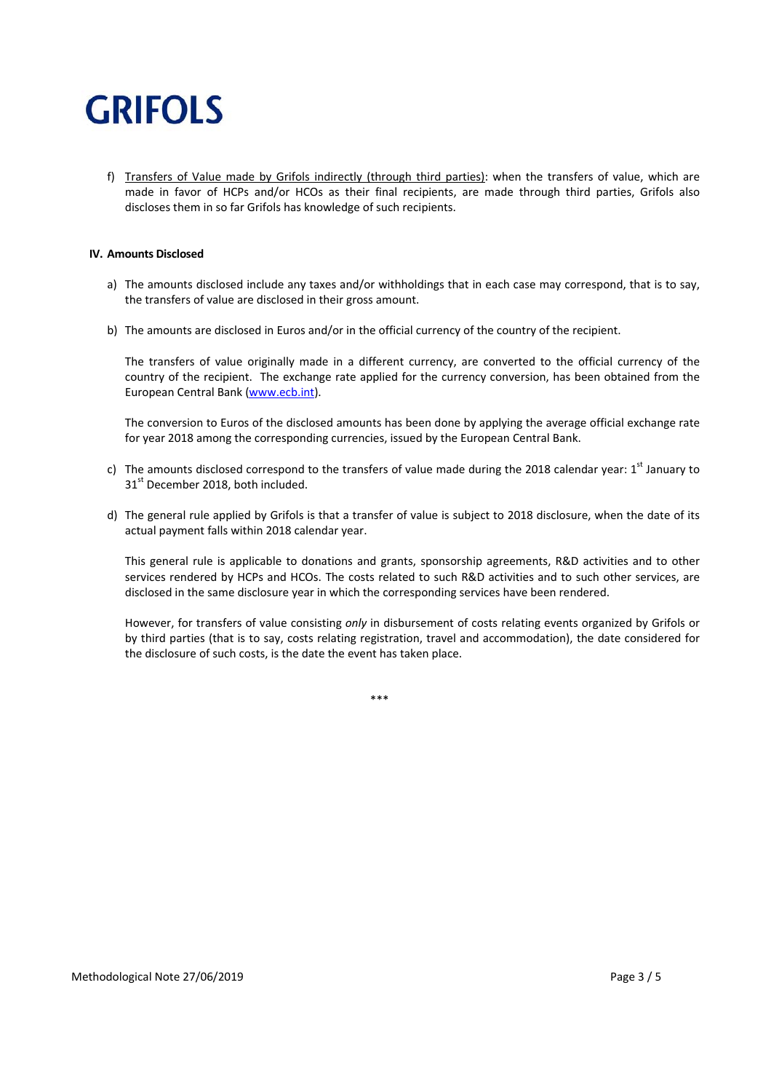f) Transfers of Value made by Grifols indirectly (through third parties): when the transfers of value, which are made in favor of HCPs and/or HCOs as their final recipients, are made through third parties, Grifols also discloses them in so far Grifols has knowledge of such recipients.

# **IV. Amounts Disclosed**

- a) The amounts disclosed include any taxes and/or withholdings that in each case may correspond, that is to say, the transfers of value are disclosed in their gross amount.
- b) The amounts are disclosed in Euros and/or in the official currency of the country of the recipient.

The transfers of value originally made in a different currency, are converted to the official currency of the country of the recipient. The exchange rate applied for the currency conversion, has been obtained from the European Central Bank (www.ecb.int).

The conversion to Euros of the disclosed amounts has been done by applying the average official exchange rate for year 2018 among the corresponding currencies, issued by the European Central Bank.

- c) The amounts disclosed correspond to the transfers of value made during the 2018 calendar year: 1<sup>st</sup> January to 31<sup>st</sup> December 2018, both included.
- d) The general rule applied by Grifols is that a transfer of value is subject to 2018 disclosure, when the date of its actual payment falls within 2018 calendar year.

This general rule is applicable to donations and grants, sponsorship agreements, R&D activities and to other services rendered by HCPs and HCOs. The costs related to such R&D activities and to such other services, are disclosed in the same disclosure year in which the corresponding services have been rendered.

However, for transfers of value consisting *only* in disbursement of costs relating events organized by Grifols or by third parties (that is to say, costs relating registration, travel and accommodation), the date considered for the disclosure of such costs, is the date the event has taken place.

\*\*\*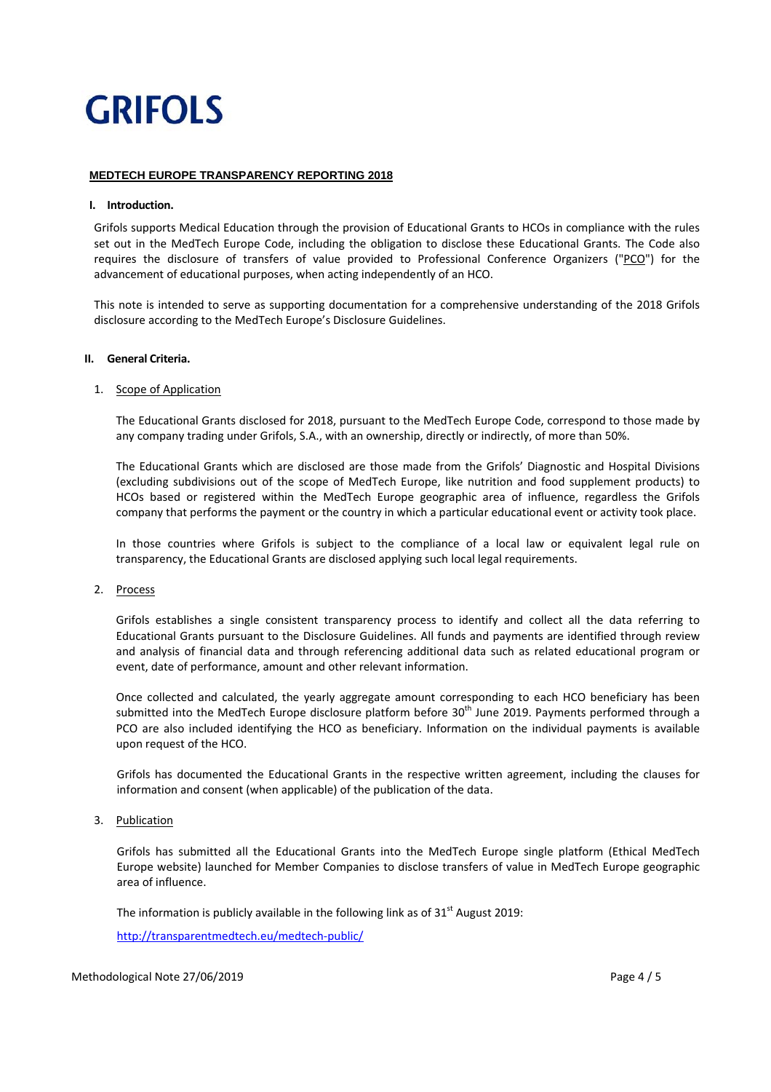# **MEDTECH EUROPE TRANSPARENCY REPORTING 2018**

### **I. Introduction.**

Grifols supports Medical Education through the provision of Educational Grants to HCOs in compliance with the rules set out in the MedTech Europe Code, including the obligation to disclose these Educational Grants. The Code also requires the disclosure of transfers of value provided to Professional Conference Organizers ("PCO") for the advancement of educational purposes, when acting independently of an HCO.

This note is intended to serve as supporting documentation for a comprehensive understanding of the 2018 Grifols disclosure according to the MedTech Europe's Disclosure Guidelines.

### **II. General Criteria.**

### 1. Scope of Application

The Educational Grants disclosed for 2018, pursuant to the MedTech Europe Code, correspond to those made by any company trading under Grifols, S.A., with an ownership, directly or indirectly, of more than 50%.

The Educational Grants which are disclosed are those made from the Grifols' Diagnostic and Hospital Divisions (excluding subdivisions out of the scope of MedTech Europe, like nutrition and food supplement products) to HCOs based or registered within the MedTech Europe geographic area of influence, regardless the Grifols company that performs the payment or the country in which a particular educational event or activity took place.

In those countries where Grifols is subject to the compliance of a local law or equivalent legal rule on transparency, the Educational Grants are disclosed applying such local legal requirements.

### 2. Process

Grifols establishes a single consistent transparency process to identify and collect all the data referring to Educational Grants pursuant to the Disclosure Guidelines. All funds and payments are identified through review and analysis of financial data and through referencing additional data such as related educational program or event, date of performance, amount and other relevant information.

Once collected and calculated, the yearly aggregate amount corresponding to each HCO beneficiary has been submitted into the MedTech Europe disclosure platform before 30<sup>th</sup> June 2019. Payments performed through a PCO are also included identifying the HCO as beneficiary. Information on the individual payments is available upon request of the HCO.

Grifols has documented the Educational Grants in the respective written agreement, including the clauses for information and consent (when applicable) of the publication of the data.

# 3. Publication

Grifols has submitted all the Educational Grants into the MedTech Europe single platform (Ethical MedTech Europe website) launched for Member Companies to disclose transfers of value in MedTech Europe geographic area of influence.

The information is publicly available in the following link as of  $31<sup>st</sup>$  August 2019:

http://transparentmedtech.eu/medtech‐public/